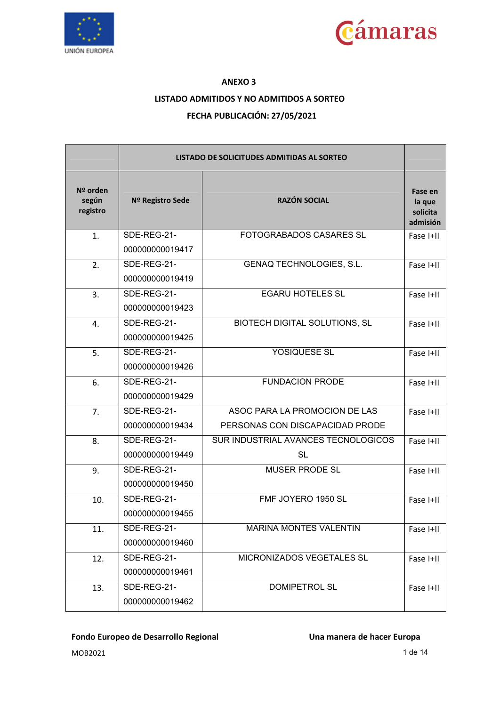



### **ANEXO 3**

### **LISTADO ADMITIDOS Y NO ADMITIDOS A SORTEO**

### **FECHA PUBLICACIÓN: 27/05/2021**

|                                 |                                | LISTADO DE SOLICITUDES ADMITIDAS AL SORTEO |                                           |
|---------------------------------|--------------------------------|--------------------------------------------|-------------------------------------------|
| $N2$ orden<br>según<br>registro | Nº Registro Sede               | <b>RAZÓN SOCIAL</b>                        | Fase en<br>la que<br>solicita<br>admisión |
| 1.                              | SDE-REG-21-                    | FOTOGRABADOS CASARES SL                    | Fase I+II                                 |
|                                 | 000000000019417                |                                            |                                           |
| 2.                              | SDE-REG-21-                    | <b>GENAQ TECHNOLOGIES, S.L.</b>            | Fase I+II                                 |
|                                 | 000000000019419                |                                            |                                           |
| 3.                              | SDE-REG-21-                    | <b>EGARU HOTELES SL</b>                    | Fase I+II                                 |
|                                 | 000000000019423                |                                            |                                           |
| 4.                              | SDE-REG-21-                    | <b>BIOTECH DIGITAL SOLUTIONS, SL</b>       | Fase I+II                                 |
|                                 | 000000000019425                |                                            |                                           |
| 5.                              | SDE-REG-21-<br>000000000019426 | <b>YOSIQUESE SL</b>                        | Fase I+II                                 |
|                                 |                                |                                            |                                           |
| 6.                              | SDE-REG-21-                    | <b>FUNDACION PRODE</b>                     | Fase I+II                                 |
|                                 | 000000000019429<br>SDE-REG-21- | ASOC PARA LA PROMOCION DE LAS              |                                           |
| 7.                              | 000000000019434                | PERSONAS CON DISCAPACIDAD PRODE            | Fase I+II                                 |
|                                 | SDE-REG-21-                    | SUR INDUSTRIAL AVANCES TECNOLOGICOS        |                                           |
| 8.                              | 000000000019449                | <b>SL</b>                                  | Fase I+II                                 |
|                                 | SDE-REG-21-                    | <b>MUSER PRODE SL</b>                      |                                           |
| 9.                              | 000000000019450                |                                            | Fase I+II                                 |
| 10.                             | SDE-REG-21-                    | FMF JOYERO 1950 SL                         | Fase I+II                                 |
|                                 | 000000000019455                |                                            |                                           |
| 11.                             | SDE-REG-21-                    | MARINA MONTES VALENTIN                     | Fase I+II                                 |
|                                 | 000000000019460                |                                            |                                           |
| 12.                             | SDE-REG-21-                    | MICRONIZADOS VEGETALES SL                  | Fase I+II                                 |
|                                 | 000000000019461                |                                            |                                           |
| 13.                             | SDE-REG-21-                    | <b>DOMIPETROL SL</b>                       | Fase I+II                                 |
|                                 | 000000000019462                |                                            |                                           |
|                                 |                                |                                            |                                           |

# **Fondo Europeo de Desarrollo Regional Una manera de hacer Europa**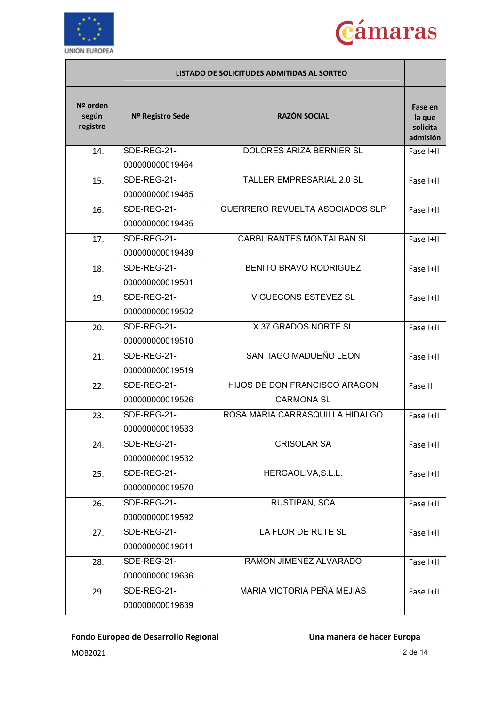



|                               |                                | LISTADO DE SOLICITUDES ADMITIDAS AL SORTEO         |                                           |
|-------------------------------|--------------------------------|----------------------------------------------------|-------------------------------------------|
| Nº orden<br>según<br>registro | Nº Registro Sede               | <b>RAZÓN SOCIAL</b>                                | Fase en<br>la que<br>solicita<br>admisión |
| 14.                           | SDE-REG-21-<br>000000000019464 | DOLORES ARIZA BERNIER SL                           | Fase I+II                                 |
| 15.                           | SDE-REG-21-<br>000000000019465 | TALLER EMPRESARIAL 2.0 SL                          | Fase I+II                                 |
| 16.                           | SDE-REG-21-<br>000000000019485 | GUERRERO REVUELTA ASOCIADOS SLP                    | Fase I+II                                 |
| 17.                           | SDE-REG-21-<br>000000000019489 | <b>CARBURANTES MONTALBAN SL</b>                    | Fase I+II                                 |
| 18.                           | SDE-REG-21-<br>000000000019501 | <b>BENITO BRAVO RODRIGUEZ</b>                      | Fase I+II                                 |
| 19.                           | SDE-REG-21-<br>000000000019502 | <b>VIGUECONS ESTEVEZ SL</b>                        | Fase I+II                                 |
| 20.                           | SDE-REG-21-<br>000000000019510 | <b>X 37 GRADOS NORTE SL</b>                        | Fase I+II                                 |
| 21.                           | SDE-REG-21-<br>000000000019519 | SANTIAGO MADUEÑO LEON                              | Fase I+II                                 |
| 22.                           | SDE-REG-21-<br>000000000019526 | HIJOS DE DON FRANCISCO ARAGON<br><b>CARMONA SL</b> | Fase II                                   |
| 23.                           | SDE-REG-21-<br>000000000019533 | ROSA MARIA CARRASQUILLA HIDALGO                    | Fase I+II                                 |
| 24.                           | SDE-REG-21-<br>000000000019532 | <b>CRISOLAR SA</b>                                 | Fase I+II                                 |
| 25.                           | SDE-REG-21-<br>000000000019570 | HERGAOLIVA, S.L.L.                                 | Fase I+II                                 |
| 26.                           | SDE-REG-21-<br>000000000019592 | RUSTIPAN, SCA                                      | Fase I+II                                 |
| 27.                           | SDE-REG-21-<br>000000000019611 | LA FLOR DE RUTE SL                                 | Fase I+II                                 |
| 28.                           | SDE-REG-21-<br>000000000019636 | RAMON JIMENEZ ALVARADO                             | Fase I+II                                 |
| 29.                           | SDE-REG-21-<br>000000000019639 | MARIA VICTORIA PEÑA MEJIAS                         | Fase I+II                                 |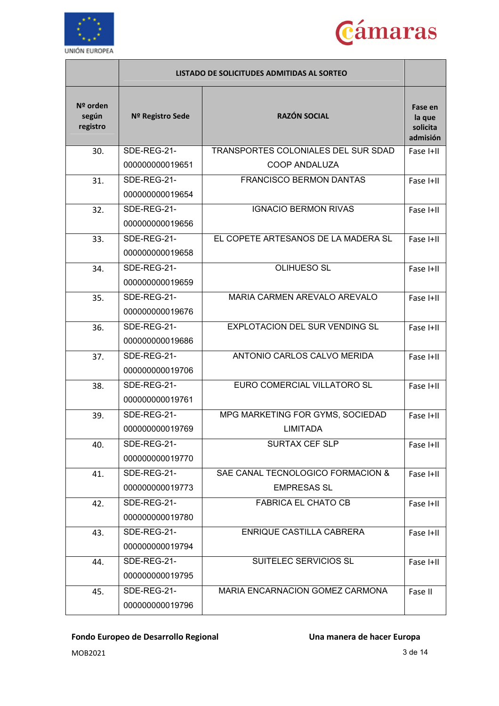



|                               |                  | LISTADO DE SOLICITUDES ADMITIDAS AL SORTEO |                                           |
|-------------------------------|------------------|--------------------------------------------|-------------------------------------------|
| Nº orden<br>según<br>registro | Nº Registro Sede | <b>RAZÓN SOCIAL</b>                        | Fase en<br>la que<br>solicita<br>admisión |
| 30.                           | SDE-REG-21-      | TRANSPORTES COLONIALES DEL SUR SDAD        | Fase I+II                                 |
|                               | 000000000019651  | <b>COOP ANDALUZA</b>                       |                                           |
| 31.                           | SDE-REG-21-      | <b>FRANCISCO BERMON DANTAS</b>             | Fase I+II                                 |
|                               | 000000000019654  |                                            |                                           |
| 32.                           | SDE-REG-21-      | <b>IGNACIO BERMON RIVAS</b>                | Fase I+II                                 |
|                               | 000000000019656  |                                            |                                           |
| 33.                           | SDE-REG-21-      | EL COPETE ARTESANOS DE LA MADERA SL        | Fase I+II                                 |
|                               | 000000000019658  |                                            |                                           |
| 34.                           | SDE-REG-21-      | OLIHUESO SL                                | Fase I+II                                 |
|                               | 000000000019659  |                                            |                                           |
| 35.                           | SDE-REG-21-      | MARIA CARMEN AREVALO AREVALO               | Fase I+II                                 |
|                               | 000000000019676  |                                            |                                           |
| 36.                           | SDE-REG-21-      | EXPLOTACION DEL SUR VENDING SL             | Fase I+II                                 |
|                               | 000000000019686  |                                            |                                           |
| 37.                           | SDE-REG-21-      | ANTONIO CARLOS CALVO MERIDA                | Fase I+II                                 |
|                               | 000000000019706  |                                            |                                           |
| 38.                           | SDE-REG-21-      | EURO COMERCIAL VILLATORO SL                | Fase I+II                                 |
|                               | 000000000019761  |                                            |                                           |
| 39.                           | SDE-REG-21-      | MPG MARKETING FOR GYMS, SOCIEDAD           | Fase I+II                                 |
|                               | 000000000019769  | <b>LIMITADA</b>                            |                                           |
| 40.                           | SDE-REG-21-      | SURTAX CEF SLP                             | Fase I+II                                 |
|                               | 000000000019770  |                                            |                                           |
| 41.                           | SDE-REG-21-      | SAE CANAL TECNOLOGICO FORMACION &          | Fase I+II                                 |
|                               | 000000000019773  | <b>EMPRESAS SL</b>                         |                                           |
| 42.                           | SDE-REG-21-      | <b>FABRICA EL CHATO CB</b>                 | Fase I+II                                 |
|                               | 000000000019780  |                                            |                                           |
| 43.                           | SDE-REG-21-      | ENRIQUE CASTILLA CABRERA                   | Fase I+II                                 |
|                               | 000000000019794  |                                            |                                           |
| 44.                           | SDE-REG-21-      | SUITELEC SERVICIOS SL                      | Fase I+II                                 |
|                               | 000000000019795  |                                            |                                           |
| 45.                           | SDE-REG-21-      | MARIA ENCARNACION GOMEZ CARMONA            | Fase II                                   |
|                               | 000000000019796  |                                            |                                           |
|                               |                  |                                            |                                           |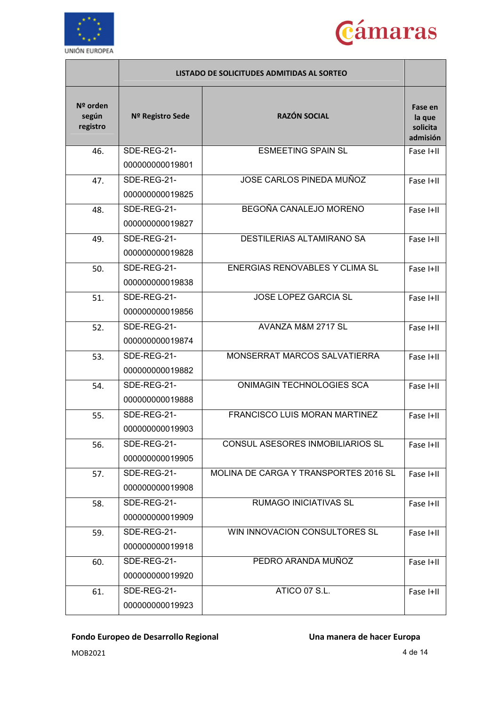



|                               |                  | LISTADO DE SOLICITUDES ADMITIDAS AL SORTEO |                                           |
|-------------------------------|------------------|--------------------------------------------|-------------------------------------------|
| Nº orden<br>según<br>registro | Nº Registro Sede | <b>RAZÓN SOCIAL</b>                        | Fase en<br>la que<br>solicita<br>admisión |
| 46.                           | SDE-REG-21-      | <b>ESMEETING SPAIN SL</b>                  | Fase I+II                                 |
|                               | 000000000019801  |                                            |                                           |
| 47.                           | SDE-REG-21-      | JOSE CARLOS PINEDA MUÑOZ                   | Fase I+II                                 |
|                               | 000000000019825  |                                            |                                           |
| 48.                           | SDE-REG-21-      | BEGOÑA CANALEJO MORENO                     | Fase I+II                                 |
|                               | 000000000019827  |                                            |                                           |
| 49.                           | SDE-REG-21-      | DESTILERIAS ALTAMIRANO SA                  | Fase I+II                                 |
|                               | 000000000019828  |                                            |                                           |
| 50.                           | SDE-REG-21-      | ENERGIAS RENOVABLES Y CLIMA SL             | Fase I+II                                 |
|                               | 000000000019838  |                                            |                                           |
| 51.                           | SDE-REG-21-      | <b>JOSE LOPEZ GARCIA SL</b>                | Fase I+II                                 |
|                               | 000000000019856  |                                            |                                           |
| 52.                           | SDE-REG-21-      | AVANZA M&M 2717 SL                         | Fase I+II                                 |
|                               | 000000000019874  |                                            |                                           |
| 53.                           | SDE-REG-21-      | MONSERRAT MARCOS SALVATIERRA               | Fase I+II                                 |
|                               | 000000000019882  |                                            |                                           |
| 54.                           | SDE-REG-21-      | <b>ONIMAGIN TECHNOLOGIES SCA</b>           | Fase I+II                                 |
|                               | 000000000019888  |                                            |                                           |
| 55.                           | SDE-REG-21-      | FRANCISCO LUIS MORAN MARTINEZ              | Fase I+II                                 |
|                               | 000000000019903  |                                            |                                           |
| 56.                           | SDE-REG-21-      | CONSUL ASESORES INMOBILIARIOS SL           | Fase I+II                                 |
|                               | 000000000019905  |                                            |                                           |
| 57.                           | SDE-REG-21-      | MOLINA DE CARGA Y TRANSPORTES 2016 SL      | Fase I+II                                 |
|                               | 000000000019908  |                                            |                                           |
| 58.                           | SDE-REG-21-      | RUMAGO INICIATIVAS SL                      | Fase I+II                                 |
|                               | 000000000019909  |                                            |                                           |
| 59.                           | SDE-REG-21-      | WIN INNOVACION CONSULTORES SL              | Fase I+II                                 |
|                               | 000000000019918  |                                            |                                           |
| 60.                           | SDE-REG-21-      | PEDRO ARANDA MUÑOZ                         | Fase I+II                                 |
|                               | 000000000019920  |                                            |                                           |
| 61.                           | SDE-REG-21-      | ATICO 07 S.L.                              | Fase I+II                                 |
|                               | 000000000019923  |                                            |                                           |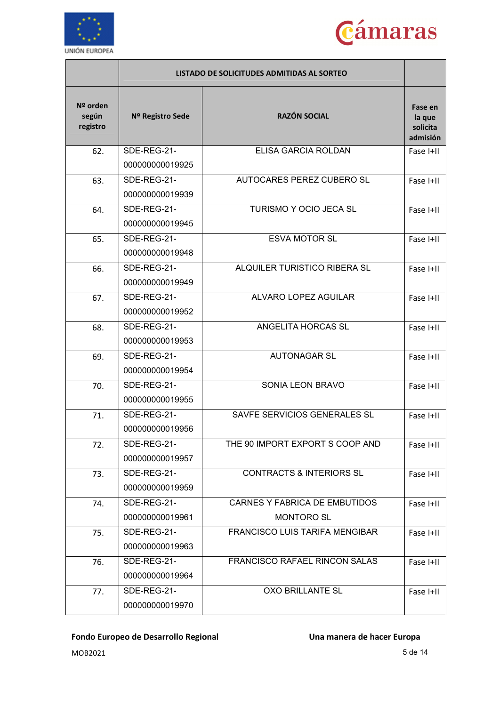



|                               |                  | LISTADO DE SOLICITUDES ADMITIDAS AL SORTEO |                                           |
|-------------------------------|------------------|--------------------------------------------|-------------------------------------------|
| Nº orden<br>según<br>registro | Nº Registro Sede | <b>RAZÓN SOCIAL</b>                        | Fase en<br>la que<br>solicita<br>admisión |
| 62.                           | SDE-REG-21-      | <b>ELISA GARCIA ROLDAN</b>                 | Fase I+II                                 |
|                               | 000000000019925  |                                            |                                           |
| 63.                           | SDE-REG-21-      | <b>AUTOCARES PEREZ CUBERO SL</b>           | Fase I+II                                 |
|                               | 000000000019939  |                                            |                                           |
| 64.                           | SDE-REG-21-      | <b>TURISMO Y OCIO JECA SL</b>              | Fase I+II                                 |
|                               | 000000000019945  |                                            |                                           |
| 65.                           | SDE-REG-21-      | <b>ESVA MOTOR SL</b>                       | Fase I+II                                 |
|                               | 000000000019948  |                                            |                                           |
| 66.                           | SDE-REG-21-      | ALQUILER TURISTICO RIBERA SL               | Fase I+II                                 |
|                               | 000000000019949  |                                            |                                           |
| 67.                           | SDE-REG-21-      | <b>ALVARO LOPEZ AGUILAR</b>                | Fase I+II                                 |
|                               | 000000000019952  |                                            |                                           |
| 68.                           | SDE-REG-21-      | ANGELITA HORCAS SL                         | Fase I+II                                 |
|                               | 000000000019953  |                                            |                                           |
| 69.                           | SDE-REG-21-      | <b>AUTONAGAR SL</b>                        | Fase I+II                                 |
|                               | 000000000019954  |                                            |                                           |
| 70.                           | SDE-REG-21-      | <b>SONIA LEON BRAVO</b>                    | Fase I+II                                 |
|                               | 000000000019955  |                                            |                                           |
| 71.                           | SDE-REG-21-      | SAVFE SERVICIOS GENERALES SL               | Fase I+II                                 |
|                               | 000000000019956  |                                            |                                           |
| 72.                           | SDE-REG-21-      | THE 90 IMPORT EXPORT S COOP AND            | Fase I+II                                 |
|                               | 000000000019957  |                                            |                                           |
| 73.                           | SDE-REG-21-      | <b>CONTRACTS &amp; INTERIORS SL</b>        | Fase I+II                                 |
|                               | 000000000019959  |                                            |                                           |
| 74.                           | SDE-REG-21-      | CARNES Y FABRICA DE EMBUTIDOS              | Fase I+II                                 |
|                               | 000000000019961  | <b>MONTORO SL</b>                          |                                           |
| 75.                           | SDE-REG-21-      | FRANCISCO LUIS TARIFA MENGIBAR             | Fase I+II                                 |
|                               | 000000000019963  |                                            |                                           |
| 76.                           | SDE-REG-21-      | FRANCISCO RAFAEL RINCON SALAS              | Fase I+II                                 |
|                               | 000000000019964  |                                            |                                           |
| 77.                           | SDE-REG-21-      | <b>OXO BRILLANTE SL</b>                    | Fase I+II                                 |
|                               | 000000000019970  |                                            |                                           |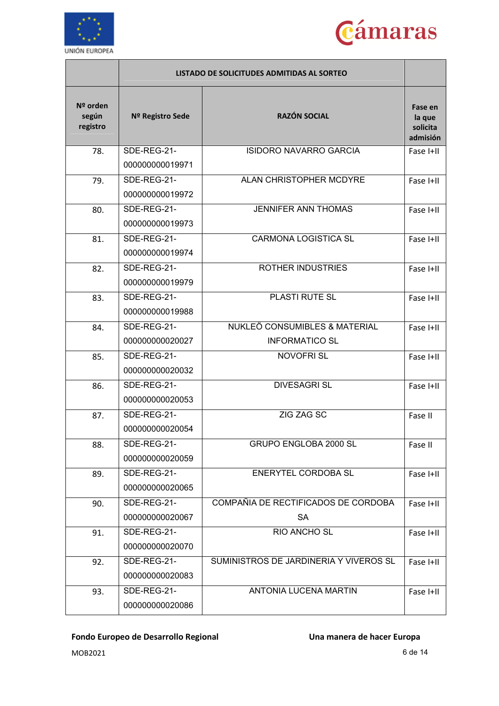



|                               |                                | LISTADO DE SOLICITUDES ADMITIDAS AL SORTEO             |                                           |
|-------------------------------|--------------------------------|--------------------------------------------------------|-------------------------------------------|
| Nº orden<br>según<br>registro | Nº Registro Sede               | <b>RAZÓN SOCIAL</b>                                    | Fase en<br>la que<br>solicita<br>admisión |
| 78.                           | SDE-REG-21-<br>000000000019971 | <b>ISIDORO NAVARRO GARCIA</b>                          | Fase I+II                                 |
| 79.                           | SDE-REG-21-<br>000000000019972 | ALAN CHRISTOPHER MCDYRE                                | Fase I+II                                 |
| 80.                           | SDE-REG-21-<br>000000000019973 | <b>JENNIFER ANN THOMAS</b>                             | Fase I+II                                 |
| 81.                           | SDE-REG-21-<br>000000000019974 | <b>CARMONA LOGISTICA SL</b>                            | Fase I+II                                 |
| 82.                           | SDE-REG-21-<br>000000000019979 | <b>ROTHER INDUSTRIES</b>                               | Fase I+II                                 |
| 83.                           | SDE-REG-21-<br>000000000019988 | <b>PLASTI RUTE SL</b>                                  | Fase I+II                                 |
| 84.                           | SDE-REG-21-<br>000000000020027 | NUKLEÖ CONSUMIBLES & MATERIAL<br><b>INFORMATICO SL</b> | Fase I+II                                 |
| 85.                           | SDE-REG-21-<br>000000000020032 | <b>NOVOFRI SL</b>                                      | Fase I+II                                 |
| 86.                           | SDE-REG-21-<br>000000000020053 | <b>DIVESAGRI SL</b>                                    | Fase I+II                                 |
| 87.                           | SDE-REG-21-<br>000000000020054 | <b>ZIG ZAG SC</b>                                      | Fase II                                   |
| 88.                           | SDE-REG-21-<br>000000000020059 | <b>GRUPO ENGLOBA 2000 SL</b>                           | Fase II                                   |
| 89.                           | SDE-REG-21-<br>000000000020065 | ENERYTEL CORDOBA SL                                    | Fase I+II                                 |
| 90.                           | SDE-REG-21-<br>000000000020067 | COMPAÑIA DE RECTIFICADOS DE CORDOBA<br><b>SA</b>       | Fase I+II                                 |
| 91.                           | SDE-REG-21-<br>000000000020070 | RIO ANCHO SL                                           | Fase I+II                                 |
| 92.                           | SDE-REG-21-<br>000000000020083 | SUMINISTROS DE JARDINERIA Y VIVEROS SL                 | Fase I+II                                 |
| 93.                           | SDE-REG-21-<br>000000000020086 | <b>ANTONIA LUCENA MARTIN</b>                           | Fase I+II                                 |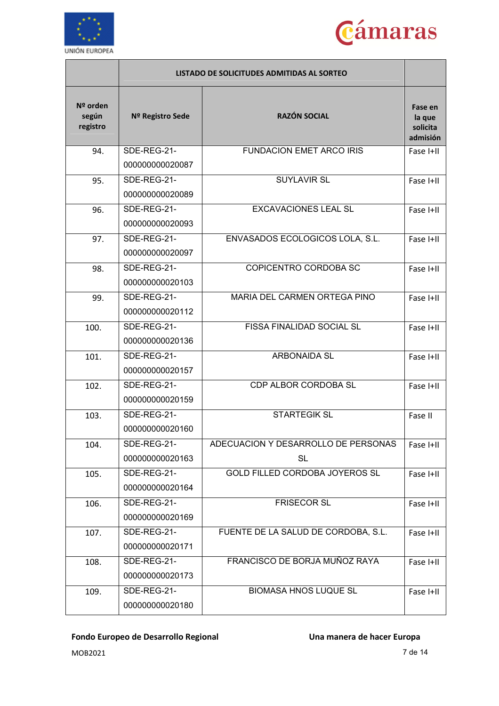



|                               |                                | LISTADO DE SOLICITUDES ADMITIDAS AL SORTEO       |                                           |
|-------------------------------|--------------------------------|--------------------------------------------------|-------------------------------------------|
| Nº orden<br>según<br>registro | Nº Registro Sede               | <b>RAZÓN SOCIAL</b>                              | Fase en<br>la que<br>solicita<br>admisión |
| 94.                           | SDE-REG-21-<br>000000000020087 | <b>FUNDACION EMET ARCO IRIS</b>                  | Fase I+II                                 |
| 95.                           | SDE-REG-21-<br>000000000020089 | <b>SUYLAVIR SL</b>                               | Fase I+II                                 |
| 96.                           | SDE-REG-21-<br>000000000020093 | <b>EXCAVACIONES LEAL SL</b>                      | Fase I+II                                 |
| 97.                           | SDE-REG-21-<br>000000000020097 | ENVASADOS ECOLOGICOS LOLA, S.L.                  | Fase I+II                                 |
| 98.                           | SDE-REG-21-<br>000000000020103 | COPICENTRO CORDOBA SC                            | Fase I+II                                 |
| 99.                           | SDE-REG-21-<br>000000000020112 | MARIA DEL CARMEN ORTEGA PINO                     | Fase I+II                                 |
| 100.                          | SDE-REG-21-<br>000000000020136 | <b>FISSA FINALIDAD SOCIAL SL</b>                 | Fase I+II                                 |
| 101.                          | SDE-REG-21-<br>000000000020157 | <b>ARBONAIDA SL</b>                              | Fase I+II                                 |
| 102.                          | SDE-REG-21-<br>000000000020159 | <b>CDP ALBOR CORDOBA SL</b>                      | Fase I+II                                 |
| 103.                          | SDE-REG-21-<br>000000000020160 | <b>STARTEGIK SL</b>                              | Fase II                                   |
| 104.                          | SDE-REG-21-<br>000000000020163 | ADECUACION Y DESARROLLO DE PERSONAS<br><b>SL</b> | Fase I+II                                 |
| 105.                          | SDE-REG-21-<br>000000000020164 | GOLD FILLED CORDOBA JOYEROS SL                   | Fase I+II                                 |
| 106.                          | SDE-REG-21-<br>000000000020169 | <b>FRISECOR SL</b>                               | Fase I+II                                 |
| 107.                          | SDE-REG-21-<br>000000000020171 | FUENTE DE LA SALUD DE CORDOBA, S.L.              | Fase I+II                                 |
| 108.                          | SDE-REG-21-<br>000000000020173 | FRANCISCO DE BORJA MUÑOZ RAYA                    | Fase I+II                                 |
| 109.                          | SDE-REG-21-<br>000000000020180 | <b>BIOMASA HNOS LUQUE SL</b>                     | Fase I+II                                 |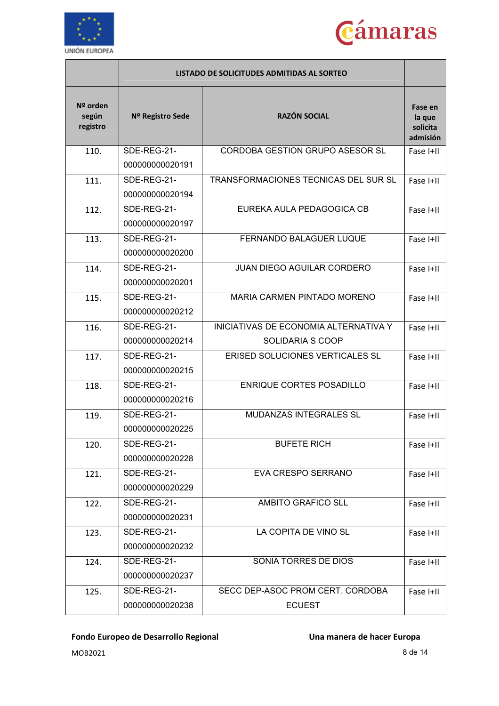



|                               |                                | LISTADO DE SOLICITUDES ADMITIDAS AL SORTEO                       |                                           |
|-------------------------------|--------------------------------|------------------------------------------------------------------|-------------------------------------------|
| Nº orden<br>según<br>registro | Nº Registro Sede               | <b>RAZÓN SOCIAL</b>                                              | Fase en<br>la que<br>solicita<br>admisión |
| 110.                          | SDE-REG-21-<br>000000000020191 | <b>CORDOBA GESTION GRUPO ASESOR SL</b>                           | Fase I+II                                 |
| 111.                          | SDE-REG-21-<br>000000000020194 | TRANSFORMACIONES TECNICAS DEL SUR SL                             | Fase I+II                                 |
| 112.                          | SDE-REG-21-<br>000000000020197 | EUREKA AULA PEDAGOGICA CB                                        | Fase I+II                                 |
| 113.                          | SDE-REG-21-<br>000000000020200 | <b>FERNANDO BALAGUER LUQUE</b>                                   | Fase I+II                                 |
| 114.                          | SDE-REG-21-<br>000000000020201 | <b>JUAN DIEGO AGUILAR CORDERO</b>                                | Fase I+II                                 |
| 115.                          | SDE-REG-21-<br>000000000020212 | MARIA CARMEN PINTADO MORENO                                      | Fase I+II                                 |
| 116.                          | SDE-REG-21-<br>000000000020214 | <b>INICIATIVAS DE ECONOMIA ALTERNATIVA Y</b><br>SOLIDARIA S COOP | Fase I+II                                 |
| 117.                          | SDE-REG-21-<br>000000000020215 | ERISED SOLUCIONES VERTICALES SL                                  | Fase I+II                                 |
| 118.                          | SDE-REG-21-<br>000000000020216 | <b>ENRIQUE CORTES POSADILLO</b>                                  | Fase I+II                                 |
| 119.                          | SDE-REG-21-<br>000000000020225 | <b>MUDANZAS INTEGRALES SL</b>                                    | Fase I+II                                 |
| 120.                          | SDE-REG-21-<br>000000000020228 | <b>BUFETE RICH</b>                                               | Fase I+II                                 |
| 121.                          | SDE-REG-21-<br>000000000020229 | EVA CRESPO SERRANO                                               | Fase I+II                                 |
| 122.                          | SDE-REG-21-<br>000000000020231 | AMBITO GRAFICO SLL                                               | Fase I+II                                 |
| 123.                          | SDE-REG-21-<br>000000000020232 | LA COPITA DE VINO SL                                             | Fase I+II                                 |
| 124.                          | SDE-REG-21-<br>000000000020237 | SONIA TORRES DE DIOS                                             | Fase I+II                                 |
| 125.                          | SDE-REG-21-<br>000000000020238 | SECC DEP-ASOC PROM CERT. CORDOBA<br><b>ECUEST</b>                | Fase I+II                                 |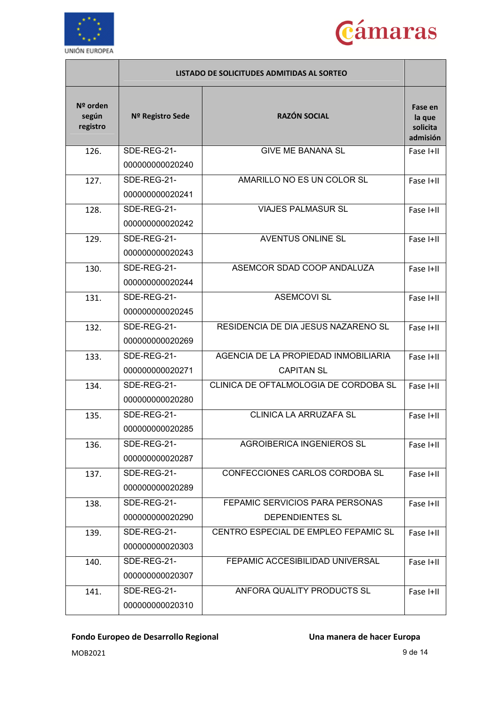



| Nº orden<br><b>RAZÓN SOCIAL</b><br>según<br>Nº Registro Sede<br>registro<br>SDE-REG-21-<br><b>GIVE ME BANANA SL</b><br>126.<br>000000000020240<br>AMARILLO NO ES UN COLOR SL<br>SDE-REG-21- | Fase en<br>la que<br>solicita<br>admisión<br>Fase I+II<br>Fase I+II |
|---------------------------------------------------------------------------------------------------------------------------------------------------------------------------------------------|---------------------------------------------------------------------|
|                                                                                                                                                                                             |                                                                     |
|                                                                                                                                                                                             |                                                                     |
|                                                                                                                                                                                             |                                                                     |
| 127.                                                                                                                                                                                        |                                                                     |
| 000000000020241                                                                                                                                                                             |                                                                     |
| SDE-REG-21-<br><b>VIAJES PALMASUR SL</b><br>128.                                                                                                                                            | Fase I+II                                                           |
| 000000000020242                                                                                                                                                                             |                                                                     |
| SDE-REG-21-<br><b>AVENTUS ONLINE SL</b><br>129.                                                                                                                                             | Fase I+II                                                           |
| 000000000020243                                                                                                                                                                             |                                                                     |
| SDE-REG-21-<br>ASEMCOR SDAD COOP ANDALUZA<br>130.                                                                                                                                           | Fase I+II                                                           |
| 000000000020244                                                                                                                                                                             |                                                                     |
| <b>ASEMCOVI SL</b><br>SDE-REG-21-<br>131.                                                                                                                                                   | Fase I+II                                                           |
| 000000000020245                                                                                                                                                                             |                                                                     |
| RESIDENCIA DE DIA JESUS NAZARENO SL<br>SDE-REG-21-<br>132.                                                                                                                                  | Fase I+II                                                           |
| 000000000020269                                                                                                                                                                             |                                                                     |
| AGENCIA DE LA PROPIEDAD INMOBILIARIA<br>SDE-REG-21-<br>133.                                                                                                                                 | Fase I+II                                                           |
| 000000000020271<br><b>CAPITAN SL</b>                                                                                                                                                        |                                                                     |
| CLINICA DE OFTALMOLOGIA DE CORDOBA SL<br>SDE-REG-21-<br>134.                                                                                                                                | Fase I+II                                                           |
| 000000000020280                                                                                                                                                                             |                                                                     |
| CLINICA LA ARRUZAFA SL<br>SDE-REG-21-<br>135.                                                                                                                                               | Fase I+II                                                           |
| 000000000020285                                                                                                                                                                             |                                                                     |
| AGROIBERICA INGENIEROS SL<br>SDE-REG-21-<br>136.                                                                                                                                            | Fase I+II                                                           |
| 000000000020287                                                                                                                                                                             |                                                                     |
| CONFECCIONES CARLOS CORDOBA SL<br>SDE-REG-21-<br>137.                                                                                                                                       | Fase I+II                                                           |
| 000000000020289                                                                                                                                                                             |                                                                     |
| FEPAMIC SERVICIOS PARA PERSONAS<br>SDE-REG-21-<br>138.                                                                                                                                      | Fase I+II                                                           |
| 000000000020290<br><b>DEPENDIENTES SL</b>                                                                                                                                                   |                                                                     |
| CENTRO ESPECIAL DE EMPLEO FEPAMIC SL<br>SDE-REG-21-<br>139.                                                                                                                                 | Fase I+II                                                           |
| 000000000020303                                                                                                                                                                             |                                                                     |
| FEPAMIC ACCESIBILIDAD UNIVERSAL<br>SDE-REG-21-<br>140.                                                                                                                                      | Fase I+II                                                           |
| 000000000020307                                                                                                                                                                             |                                                                     |
| SDE-REG-21-<br>ANFORA QUALITY PRODUCTS SL<br>141.                                                                                                                                           | Fase I+II                                                           |
| 000000000020310                                                                                                                                                                             |                                                                     |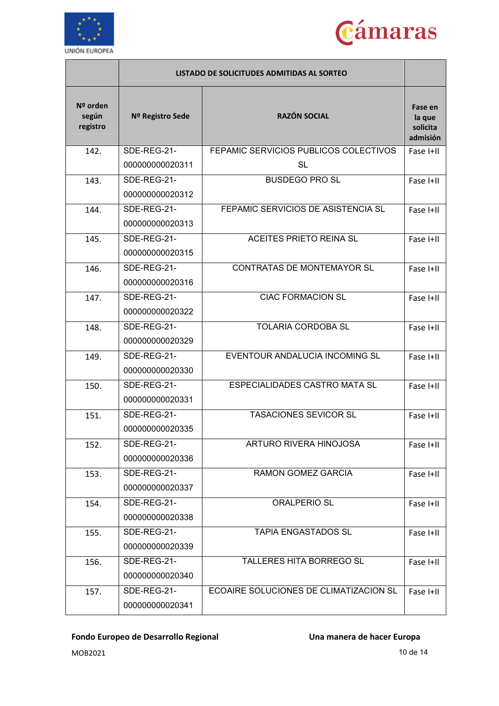



|                               |                  | LISTADO DE SOLICITUDES ADMITIDAS AL SORTEO |                                           |
|-------------------------------|------------------|--------------------------------------------|-------------------------------------------|
| Nº orden<br>según<br>registro | Nº Registro Sede | <b>RAZÓN SOCIAL</b>                        | Fase en<br>la que<br>solicita<br>admisión |
| 142.                          | SDE-REG-21-      | FEPAMIC SERVICIOS PUBLICOS COLECTIVOS      | Fase I+II                                 |
|                               | 000000000020311  | <b>SL</b>                                  |                                           |
| 143.                          | SDE-REG-21-      | <b>BUSDEGO PRO SL</b>                      | Fase I+II                                 |
|                               | 000000000020312  |                                            |                                           |
| 144.                          | SDE-REG-21-      | FEPAMIC SERVICIOS DE ASISTENCIA SL         | Fase I+II                                 |
|                               | 000000000020313  |                                            |                                           |
| 145.                          | SDE-REG-21-      | <b>ACEITES PRIETO REINA SL</b>             | Fase I+II                                 |
|                               | 000000000020315  |                                            |                                           |
| 146.                          | SDE-REG-21-      | CONTRATAS DE MONTEMAYOR SL                 | Fase I+II                                 |
|                               | 000000000020316  |                                            |                                           |
| 147.                          | SDE-REG-21-      | <b>CIAC FORMACION SL</b>                   | Fase I+II                                 |
|                               | 000000000020322  |                                            |                                           |
| 148.                          | SDE-REG-21-      | <b>TOLARIA CORDOBA SL</b>                  | Fase I+II                                 |
|                               | 000000000020329  |                                            |                                           |
| 149.                          | SDE-REG-21-      | EVENTOUR ANDALUCIA INCOMING SL             | Fase I+II                                 |
|                               | 000000000020330  |                                            |                                           |
| 150.                          | SDE-REG-21-      | <b>ESPECIALIDADES CASTRO MATA SL</b>       | Fase I+II                                 |
|                               | 000000000020331  |                                            |                                           |
| 151.                          | SDE-REG-21-      | <b>TASACIONES SEVICOR SL</b>               | Fase I+II                                 |
|                               | 000000000020335  |                                            |                                           |
| 152.                          | SDE-REG-21-      | ARTURO RIVERA HINOJOSA                     | Fase I+II                                 |
|                               | 000000000020336  |                                            |                                           |
| 153.                          | SDE-REG-21-      | RAMON GOMEZ GARCIA                         | Fase I+II                                 |
|                               | 000000000020337  |                                            |                                           |
| 154.                          | SDE-REG-21-      | <b>ORALPERIO SL</b>                        | Fase I+II                                 |
|                               | 000000000020338  |                                            |                                           |
| 155.                          | SDE-REG-21-      | <b>TAPIA ENGASTADOS SL</b>                 | Fase I+II                                 |
|                               | 000000000020339  |                                            |                                           |
| 156.                          | SDE-REG-21-      | TALLERES HITA BORREGO SL                   | Fase I+II                                 |
|                               | 000000000020340  |                                            |                                           |
| 157.                          | SDE-REG-21-      | ECOAIRE SOLUCIONES DE CLIMATIZACION SL     | Fase I+II                                 |
|                               | 000000000020341  |                                            |                                           |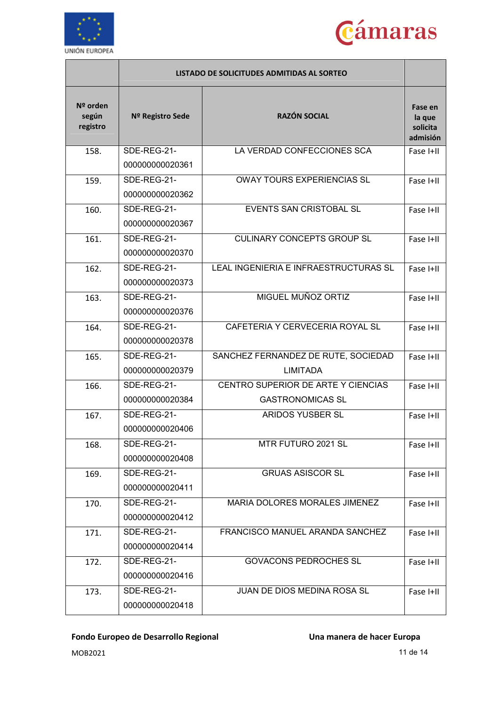



|                               |                                | LISTADO DE SOLICITUDES ADMITIDAS AL SORTEO                    |                                           |
|-------------------------------|--------------------------------|---------------------------------------------------------------|-------------------------------------------|
| Nº orden<br>según<br>registro | Nº Registro Sede               | <b>RAZÓN SOCIAL</b>                                           | Fase en<br>la que<br>solicita<br>admisión |
| 158.                          | SDE-REG-21-<br>000000000020361 | LA VERDAD CONFECCIONES SCA                                    | Fase I+II                                 |
| 159.                          | SDE-REG-21-<br>000000000020362 | <b>OWAY TOURS EXPERIENCIAS SL</b>                             | Fase I+II                                 |
| 160.                          | SDE-REG-21-<br>000000000020367 | <b>EVENTS SAN CRISTOBAL SL</b>                                | Fase I+II                                 |
| 161.                          | SDE-REG-21-<br>000000000020370 | <b>CULINARY CONCEPTS GROUP SL</b>                             | Fase I+II                                 |
| 162.                          | SDE-REG-21-<br>000000000020373 | LEAL INGENIERIA E INFRAESTRUCTURAS SL                         | Fase I+II                                 |
| 163.                          | SDE-REG-21-<br>000000000020376 | MIGUEL MUÑOZ ORTIZ                                            | Fase I+II                                 |
| 164.                          | SDE-REG-21-<br>000000000020378 | CAFETERIA Y CERVECERIA ROYAL SL                               | Fase I+II                                 |
| 165.                          | SDE-REG-21-<br>000000000020379 | SANCHEZ FERNANDEZ DE RUTE, SOCIEDAD<br><b>LIMITADA</b>        | Fase I+II                                 |
| 166.                          | SDE-REG-21-<br>000000000020384 | CENTRO SUPERIOR DE ARTE Y CIENCIAS<br><b>GASTRONOMICAS SL</b> | Fase I+II                                 |
| 167.                          | SDE-REG-21-<br>000000000020406 | <b>ARIDOS YUSBER SL</b>                                       | Fase I+II                                 |
| 168.                          | SDE-REG-21-<br>000000000020408 | MTR FUTURO 2021 SL                                            | Fase I+II                                 |
| 169.                          | SDE-REG-21-<br>000000000020411 | <b>GRUAS ASISCOR SL</b>                                       | Fase I+II                                 |
| 170.                          | SDE-REG-21-<br>000000000020412 | MARIA DOLORES MORALES JIMENEZ                                 | Fase I+II                                 |
| 171.                          | SDE-REG-21-<br>000000000020414 | FRANCISCO MANUEL ARANDA SANCHEZ                               | Fase I+II                                 |
| 172.                          | SDE-REG-21-<br>000000000020416 | <b>GOVACONS PEDROCHES SL</b>                                  | Fase I+II                                 |
| 173.                          | SDE-REG-21-<br>000000000020418 | JUAN DE DIOS MEDINA ROSA SL                                   | Fase I+II                                 |

MOB2021 11 de 14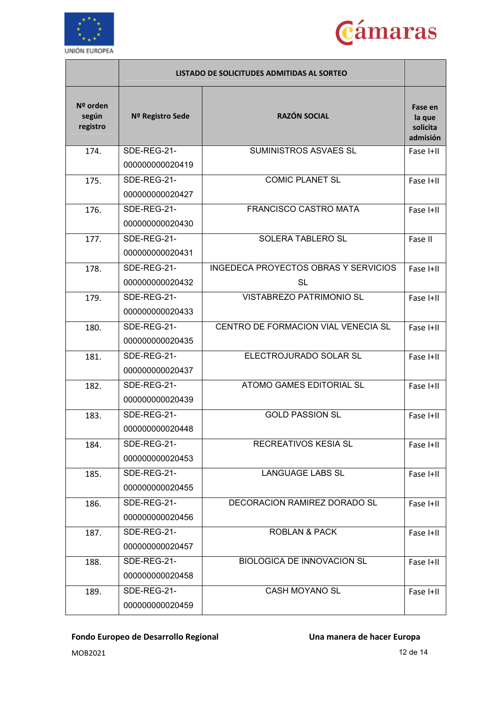



|                               |                                | LISTADO DE SOLICITUDES ADMITIDAS AL SORTEO               |                                           |
|-------------------------------|--------------------------------|----------------------------------------------------------|-------------------------------------------|
| Nº orden<br>según<br>registro | Nº Registro Sede               | <b>RAZÓN SOCIAL</b>                                      | Fase en<br>la que<br>solicita<br>admisión |
| 174.                          | SDE-REG-21-                    | <b>SUMINISTROS ASVAES SL</b>                             | Fase I+II                                 |
|                               | 000000000020419                |                                                          |                                           |
| 175.                          | SDE-REG-21-<br>000000000020427 | <b>COMIC PLANET SL</b>                                   | Fase I+II                                 |
| 176.                          | SDE-REG-21-<br>000000000020430 | <b>FRANCISCO CASTRO MATA</b>                             | Fase I+II                                 |
| 177.                          | SDE-REG-21-<br>000000000020431 | SOLERA TABLERO SL                                        | Fase II                                   |
| 178.                          | SDE-REG-21-<br>000000000020432 | <b>INGEDECA PROYECTOS OBRAS Y SERVICIOS</b><br><b>SL</b> | Fase I+II                                 |
| 179.                          | SDE-REG-21-<br>000000000020433 | VISTABREZO PATRIMONIO SL                                 | Fase I+II                                 |
| 180.                          | SDE-REG-21-<br>000000000020435 | CENTRO DE FORMACION VIAL VENECIA SL                      | Fase I+II                                 |
| 181.                          | SDE-REG-21-<br>000000000020437 | ELECTROJURADO SOLAR SL                                   | Fase I+II                                 |
| 182.                          | SDE-REG-21-<br>000000000020439 | <b>ATOMO GAMES EDITORIAL SL</b>                          | Fase I+II                                 |
| 183.                          | SDE-REG-21-<br>000000000020448 | <b>GOLD PASSION SL</b>                                   | Fase I+II                                 |
| 184.                          | SDE-REG-21-<br>000000000020453 | RECREATIVOS KESIA SL                                     | Fase I+II                                 |
| 185.                          | SDE-REG-21-<br>000000000020455 | <b>LANGUAGE LABS SL</b>                                  | Fase I+II                                 |
| 186.                          | SDE-REG-21-<br>000000000020456 | DECORACION RAMIREZ DORADO SL                             | Fase I+II                                 |
| 187.                          | SDE-REG-21-<br>000000000020457 | <b>ROBLAN &amp; PACK</b>                                 | Fase I+II                                 |
| 188.                          | SDE-REG-21-<br>000000000020458 | <b>BIOLOGICA DE INNOVACION SL</b>                        | Fase I+II                                 |
| 189.                          | SDE-REG-21-<br>000000000020459 | <b>CASH MOYANO SL</b>                                    | Fase I+II                                 |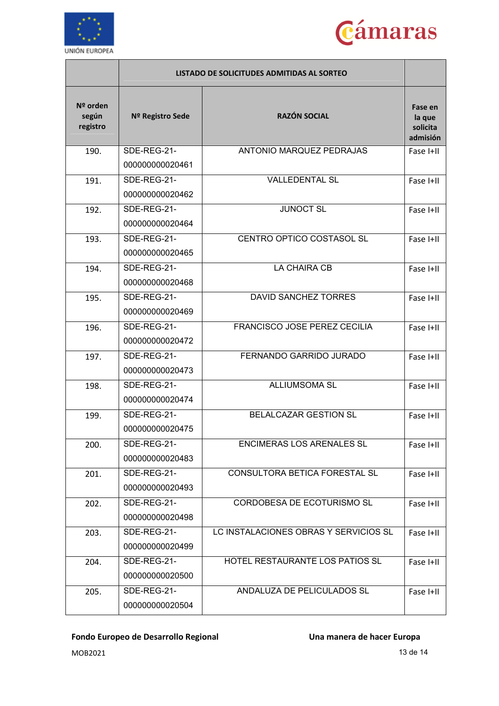



|                               | LISTADO DE SOLICITUDES ADMITIDAS AL SORTEO |                                       |                                           |
|-------------------------------|--------------------------------------------|---------------------------------------|-------------------------------------------|
| Nº orden<br>según<br>registro | Nº Registro Sede                           | <b>RAZÓN SOCIAL</b>                   | Fase en<br>la que<br>solicita<br>admisión |
| 190.                          | SDE-REG-21-<br>000000000020461             | ANTONIO MARQUEZ PEDRAJAS              | Fase I+II                                 |
| 191.                          | SDE-REG-21-<br>000000000020462             | <b>VALLEDENTAL SL</b>                 | Fase I+II                                 |
| 192.                          | SDE-REG-21-<br>000000000020464             | <b>JUNOCT SL</b>                      | Fase I+II                                 |
| 193.                          | SDE-REG-21-<br>000000000020465             | CENTRO OPTICO COSTASOL SL             | Fase I+II                                 |
| 194.                          | SDE-REG-21-<br>000000000020468             | LA CHAIRA CB                          | Fase I+II                                 |
| 195.                          | SDE-REG-21-<br>000000000020469             | <b>DAVID SANCHEZ TORRES</b>           | Fase I+II                                 |
| 196.                          | SDE-REG-21-<br>000000000020472             | <b>FRANCISCO JOSE PEREZ CECILIA</b>   | Fase I+II                                 |
| 197.                          | SDE-REG-21-<br>000000000020473             | FERNANDO GARRIDO JURADO               | Fase I+II                                 |
| 198.                          | SDE-REG-21-<br>000000000020474             | <b>ALLIUMSOMA SL</b>                  | Fase I+II                                 |
| 199.                          | SDE-REG-21-<br>000000000020475             | <b>BELALCAZAR GESTION SL</b>          | Fase I+II                                 |
| 200.                          | SDE-REG-21-<br>000000000020483             | <b>ENCIMERAS LOS ARENALES SL</b>      | Fase I+II                                 |
| 201.                          | SDE-REG-21-<br>000000000020493             | CONSULTORA BETICA FORESTAL SL         | Fase I+II                                 |
| 202.                          | SDE-REG-21-<br>000000000020498             | CORDOBESA DE ECOTURISMO SL            | Fase I+II                                 |
| 203.                          | SDE-REG-21-<br>000000000020499             | LC INSTALACIONES OBRAS Y SERVICIOS SL | Fase I+II                                 |
| 204.                          | SDE-REG-21-<br>000000000020500             | HOTEL RESTAURANTE LOS PATIOS SL       | Fase I+II                                 |
| 205.                          | SDE-REG-21-<br>000000000020504             | ANDALUZA DE PELICULADOS SL            | Fase I+II                                 |